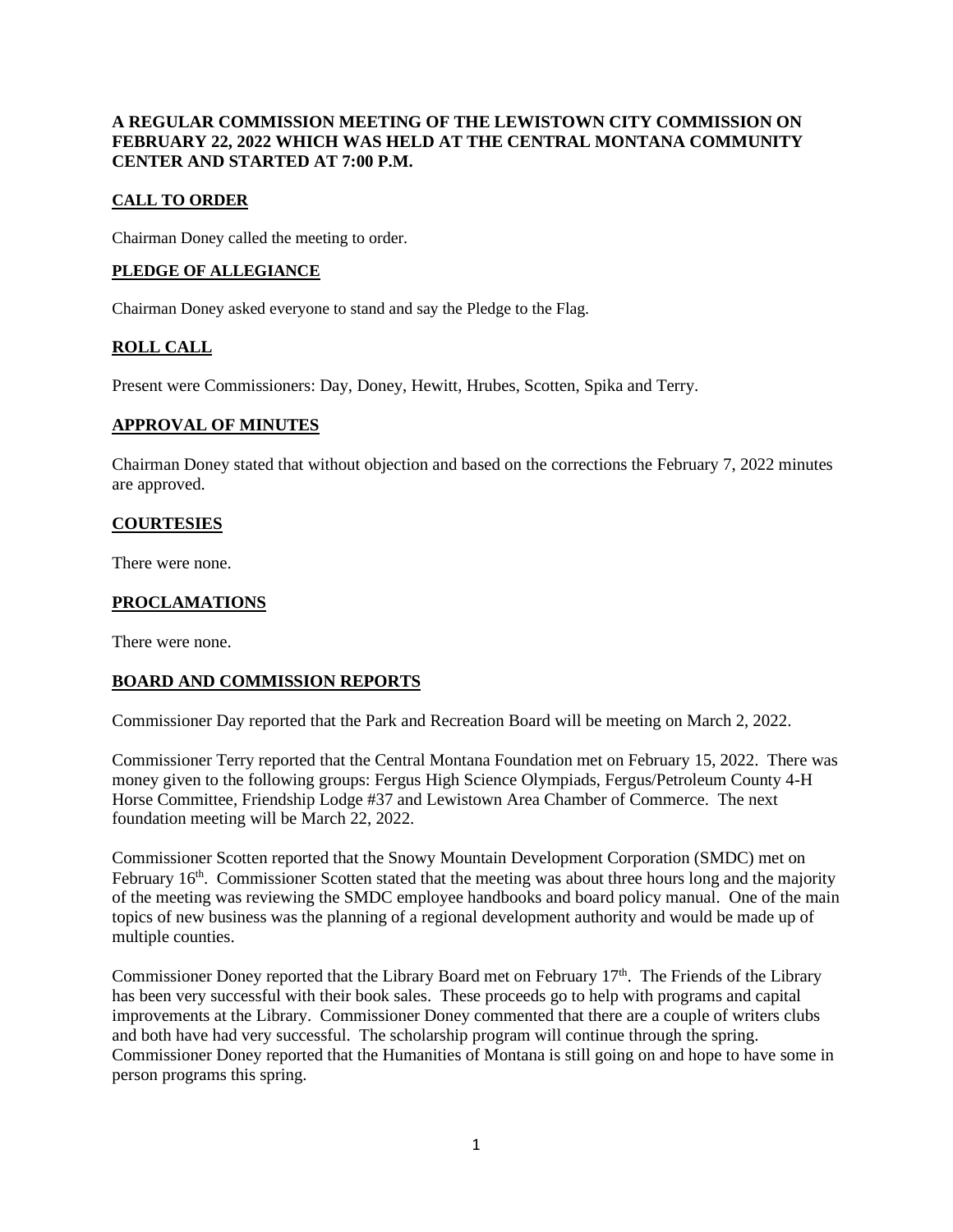# **A REGULAR COMMISSION MEETING OF THE LEWISTOWN CITY COMMISSION ON FEBRUARY 22, 2022 WHICH WAS HELD AT THE CENTRAL MONTANA COMMUNITY CENTER AND STARTED AT 7:00 P.M.**

# **CALL TO ORDER**

Chairman Doney called the meeting to order.

# **PLEDGE OF ALLEGIANCE**

Chairman Doney asked everyone to stand and say the Pledge to the Flag.

# **ROLL CALL**

Present were Commissioners: Day, Doney, Hewitt, Hrubes, Scotten, Spika and Terry.

## **APPROVAL OF MINUTES**

Chairman Doney stated that without objection and based on the corrections the February 7, 2022 minutes are approved.

## **COURTESIES**

There were none.

# **PROCLAMATIONS**

There were none.

## **BOARD AND COMMISSION REPORTS**

Commissioner Day reported that the Park and Recreation Board will be meeting on March 2, 2022.

Commissioner Terry reported that the Central Montana Foundation met on February 15, 2022. There was money given to the following groups: Fergus High Science Olympiads, Fergus/Petroleum County 4-H Horse Committee, Friendship Lodge #37 and Lewistown Area Chamber of Commerce. The next foundation meeting will be March 22, 2022.

Commissioner Scotten reported that the Snowy Mountain Development Corporation (SMDC) met on February  $16<sup>th</sup>$ . Commissioner Scotten stated that the meeting was about three hours long and the majority of the meeting was reviewing the SMDC employee handbooks and board policy manual. One of the main topics of new business was the planning of a regional development authority and would be made up of multiple counties.

Commissioner Doney reported that the Library Board met on February  $17<sup>th</sup>$ . The Friends of the Library has been very successful with their book sales. These proceeds go to help with programs and capital improvements at the Library. Commissioner Doney commented that there are a couple of writers clubs and both have had very successful. The scholarship program will continue through the spring. Commissioner Doney reported that the Humanities of Montana is still going on and hope to have some in person programs this spring.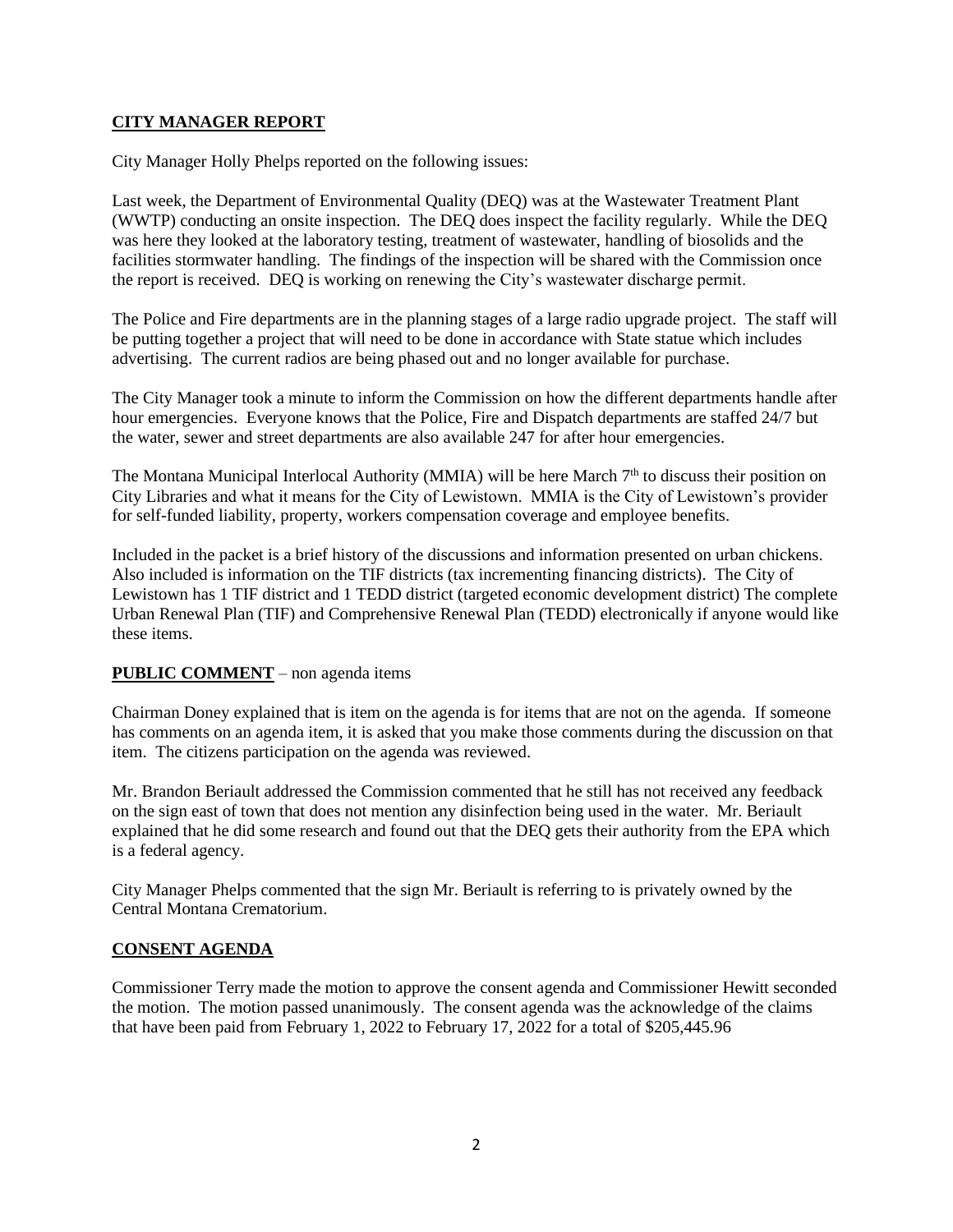# **CITY MANAGER REPORT**

City Manager Holly Phelps reported on the following issues:

Last week, the Department of Environmental Quality (DEQ) was at the Wastewater Treatment Plant (WWTP) conducting an onsite inspection. The DEQ does inspect the facility regularly. While the DEQ was here they looked at the laboratory testing, treatment of wastewater, handling of biosolids and the facilities stormwater handling. The findings of the inspection will be shared with the Commission once the report is received. DEQ is working on renewing the City's wastewater discharge permit.

The Police and Fire departments are in the planning stages of a large radio upgrade project. The staff will be putting together a project that will need to be done in accordance with State statue which includes advertising. The current radios are being phased out and no longer available for purchase.

The City Manager took a minute to inform the Commission on how the different departments handle after hour emergencies. Everyone knows that the Police, Fire and Dispatch departments are staffed 24/7 but the water, sewer and street departments are also available 247 for after hour emergencies.

The Montana Municipal Interlocal Authority (MMIA) will be here March  $7<sup>th</sup>$  to discuss their position on City Libraries and what it means for the City of Lewistown. MMIA is the City of Lewistown's provider for self-funded liability, property, workers compensation coverage and employee benefits.

Included in the packet is a brief history of the discussions and information presented on urban chickens. Also included is information on the TIF districts (tax incrementing financing districts). The City of Lewistown has 1 TIF district and 1 TEDD district (targeted economic development district) The complete Urban Renewal Plan (TIF) and Comprehensive Renewal Plan (TEDD) electronically if anyone would like these items.

## **PUBLIC COMMENT** – non agenda items

Chairman Doney explained that is item on the agenda is for items that are not on the agenda. If someone has comments on an agenda item, it is asked that you make those comments during the discussion on that item. The citizens participation on the agenda was reviewed.

Mr. Brandon Beriault addressed the Commission commented that he still has not received any feedback on the sign east of town that does not mention any disinfection being used in the water. Mr. Beriault explained that he did some research and found out that the DEQ gets their authority from the EPA which is a federal agency.

City Manager Phelps commented that the sign Mr. Beriault is referring to is privately owned by the Central Montana Crematorium.

## **CONSENT AGENDA**

Commissioner Terry made the motion to approve the consent agenda and Commissioner Hewitt seconded the motion. The motion passed unanimously. The consent agenda was the acknowledge of the claims that have been paid from February 1, 2022 to February 17, 2022 for a total of \$205,445.96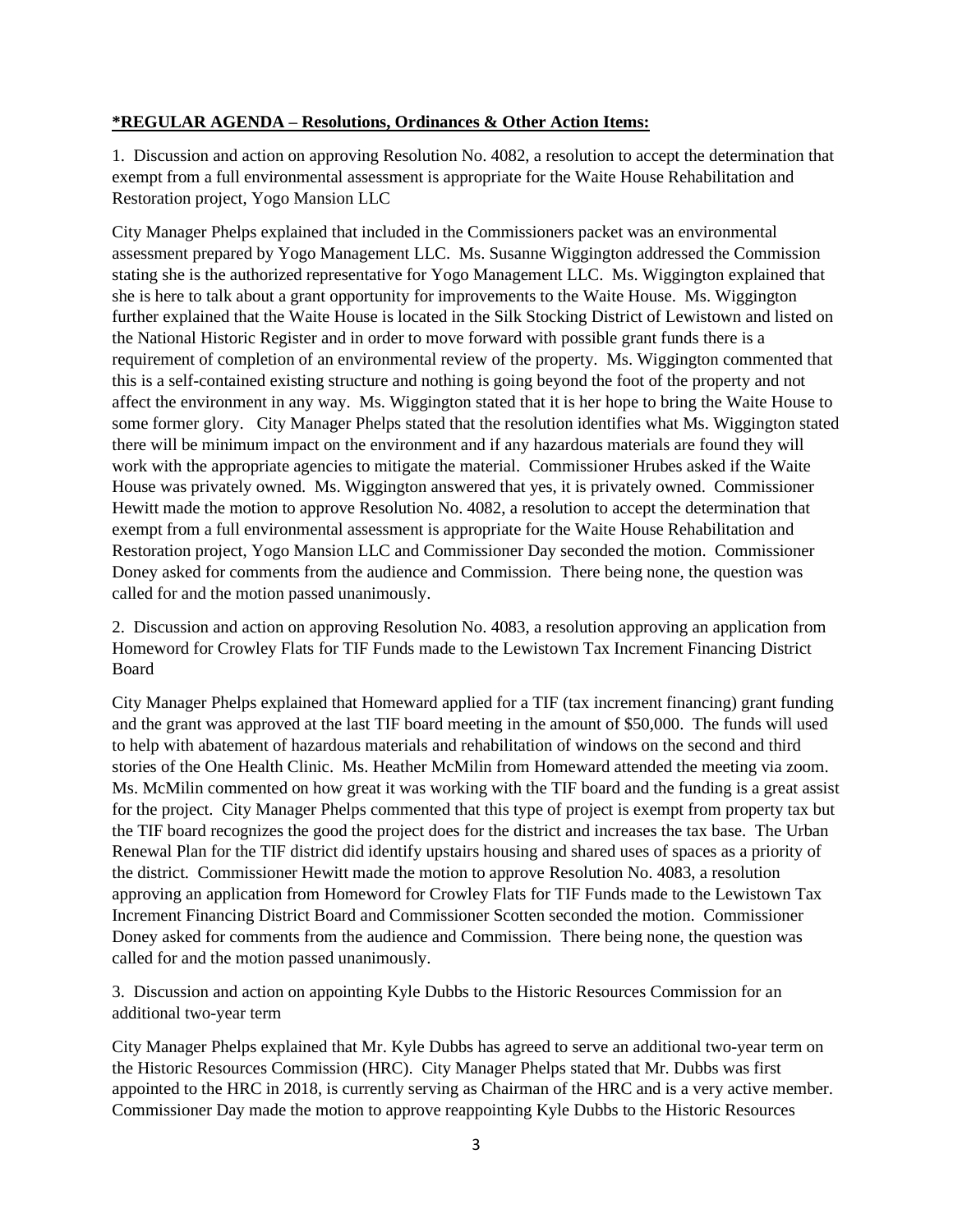## **\*REGULAR AGENDA – Resolutions, Ordinances & Other Action Items:**

1. Discussion and action on approving Resolution No. 4082, a resolution to accept the determination that exempt from a full environmental assessment is appropriate for the Waite House Rehabilitation and Restoration project, Yogo Mansion LLC

City Manager Phelps explained that included in the Commissioners packet was an environmental assessment prepared by Yogo Management LLC. Ms. Susanne Wiggington addressed the Commission stating she is the authorized representative for Yogo Management LLC. Ms. Wiggington explained that she is here to talk about a grant opportunity for improvements to the Waite House. Ms. Wiggington further explained that the Waite House is located in the Silk Stocking District of Lewistown and listed on the National Historic Register and in order to move forward with possible grant funds there is a requirement of completion of an environmental review of the property. Ms. Wiggington commented that this is a self-contained existing structure and nothing is going beyond the foot of the property and not affect the environment in any way. Ms. Wiggington stated that it is her hope to bring the Waite House to some former glory. City Manager Phelps stated that the resolution identifies what Ms. Wiggington stated there will be minimum impact on the environment and if any hazardous materials are found they will work with the appropriate agencies to mitigate the material. Commissioner Hrubes asked if the Waite House was privately owned. Ms. Wiggington answered that yes, it is privately owned. Commissioner Hewitt made the motion to approve Resolution No. 4082, a resolution to accept the determination that exempt from a full environmental assessment is appropriate for the Waite House Rehabilitation and Restoration project, Yogo Mansion LLC and Commissioner Day seconded the motion. Commissioner Doney asked for comments from the audience and Commission. There being none, the question was called for and the motion passed unanimously.

2. Discussion and action on approving Resolution No. 4083, a resolution approving an application from Homeword for Crowley Flats for TIF Funds made to the Lewistown Tax Increment Financing District Board

City Manager Phelps explained that Homeward applied for a TIF (tax increment financing) grant funding and the grant was approved at the last TIF board meeting in the amount of \$50,000. The funds will used to help with abatement of hazardous materials and rehabilitation of windows on the second and third stories of the One Health Clinic. Ms. Heather McMilin from Homeward attended the meeting via zoom. Ms. McMilin commented on how great it was working with the TIF board and the funding is a great assist for the project. City Manager Phelps commented that this type of project is exempt from property tax but the TIF board recognizes the good the project does for the district and increases the tax base. The Urban Renewal Plan for the TIF district did identify upstairs housing and shared uses of spaces as a priority of the district. Commissioner Hewitt made the motion to approve Resolution No. 4083, a resolution approving an application from Homeword for Crowley Flats for TIF Funds made to the Lewistown Tax Increment Financing District Board and Commissioner Scotten seconded the motion. Commissioner Doney asked for comments from the audience and Commission. There being none, the question was called for and the motion passed unanimously.

3. Discussion and action on appointing Kyle Dubbs to the Historic Resources Commission for an additional two-year term

City Manager Phelps explained that Mr. Kyle Dubbs has agreed to serve an additional two-year term on the Historic Resources Commission (HRC). City Manager Phelps stated that Mr. Dubbs was first appointed to the HRC in 2018, is currently serving as Chairman of the HRC and is a very active member. Commissioner Day made the motion to approve reappointing Kyle Dubbs to the Historic Resources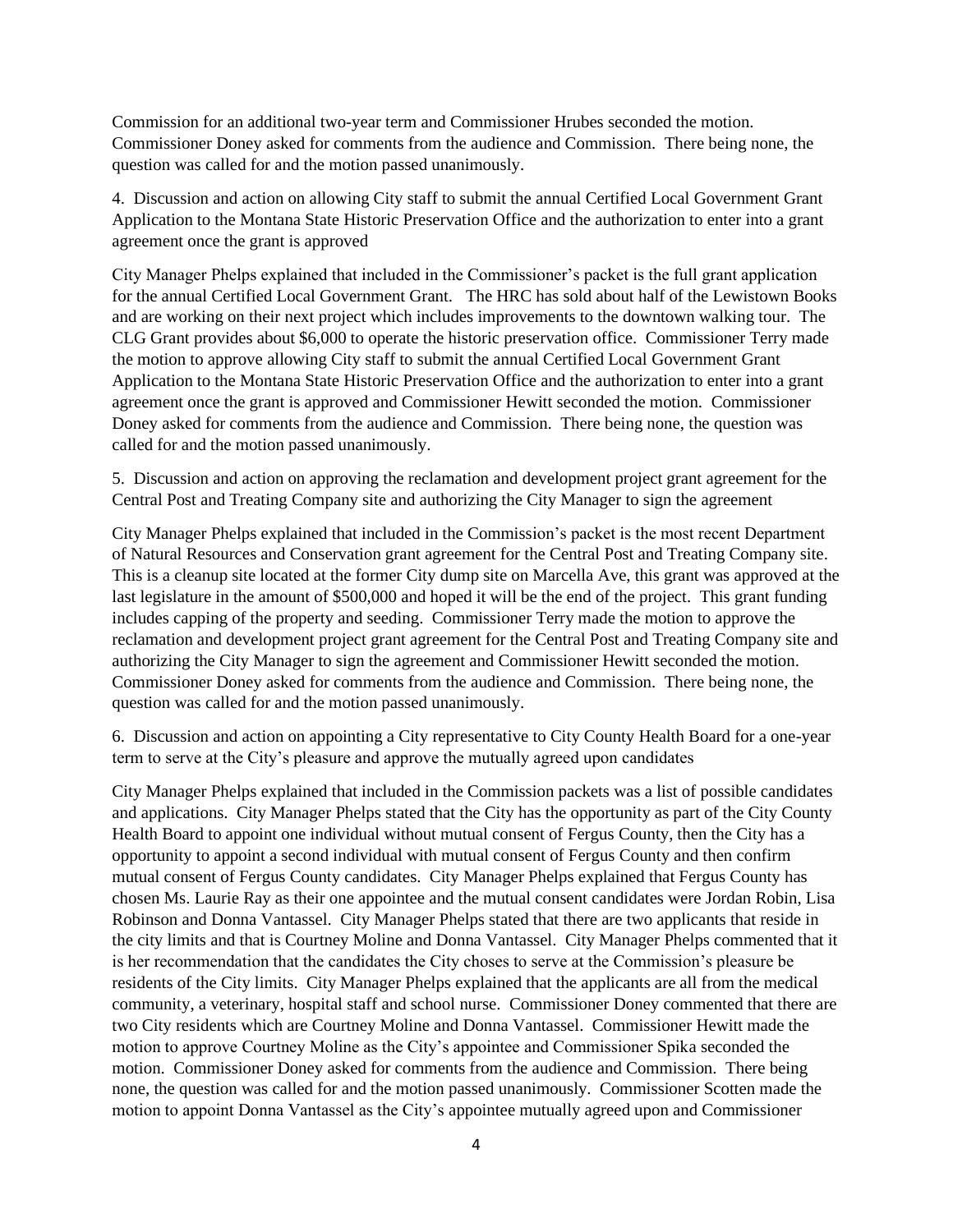Commission for an additional two-year term and Commissioner Hrubes seconded the motion. Commissioner Doney asked for comments from the audience and Commission. There being none, the question was called for and the motion passed unanimously.

4. Discussion and action on allowing City staff to submit the annual Certified Local Government Grant Application to the Montana State Historic Preservation Office and the authorization to enter into a grant agreement once the grant is approved

City Manager Phelps explained that included in the Commissioner's packet is the full grant application for the annual Certified Local Government Grant. The HRC has sold about half of the Lewistown Books and are working on their next project which includes improvements to the downtown walking tour. The CLG Grant provides about \$6,000 to operate the historic preservation office. Commissioner Terry made the motion to approve allowing City staff to submit the annual Certified Local Government Grant Application to the Montana State Historic Preservation Office and the authorization to enter into a grant agreement once the grant is approved and Commissioner Hewitt seconded the motion. Commissioner Doney asked for comments from the audience and Commission. There being none, the question was called for and the motion passed unanimously.

5. Discussion and action on approving the reclamation and development project grant agreement for the Central Post and Treating Company site and authorizing the City Manager to sign the agreement

City Manager Phelps explained that included in the Commission's packet is the most recent Department of Natural Resources and Conservation grant agreement for the Central Post and Treating Company site. This is a cleanup site located at the former City dump site on Marcella Ave, this grant was approved at the last legislature in the amount of \$500,000 and hoped it will be the end of the project. This grant funding includes capping of the property and seeding. Commissioner Terry made the motion to approve the reclamation and development project grant agreement for the Central Post and Treating Company site and authorizing the City Manager to sign the agreement and Commissioner Hewitt seconded the motion. Commissioner Doney asked for comments from the audience and Commission. There being none, the question was called for and the motion passed unanimously.

6. Discussion and action on appointing a City representative to City County Health Board for a one-year term to serve at the City's pleasure and approve the mutually agreed upon candidates

City Manager Phelps explained that included in the Commission packets was a list of possible candidates and applications. City Manager Phelps stated that the City has the opportunity as part of the City County Health Board to appoint one individual without mutual consent of Fergus County, then the City has a opportunity to appoint a second individual with mutual consent of Fergus County and then confirm mutual consent of Fergus County candidates. City Manager Phelps explained that Fergus County has chosen Ms. Laurie Ray as their one appointee and the mutual consent candidates were Jordan Robin, Lisa Robinson and Donna Vantassel. City Manager Phelps stated that there are two applicants that reside in the city limits and that is Courtney Moline and Donna Vantassel. City Manager Phelps commented that it is her recommendation that the candidates the City choses to serve at the Commission's pleasure be residents of the City limits. City Manager Phelps explained that the applicants are all from the medical community, a veterinary, hospital staff and school nurse. Commissioner Doney commented that there are two City residents which are Courtney Moline and Donna Vantassel. Commissioner Hewitt made the motion to approve Courtney Moline as the City's appointee and Commissioner Spika seconded the motion. Commissioner Doney asked for comments from the audience and Commission. There being none, the question was called for and the motion passed unanimously. Commissioner Scotten made the motion to appoint Donna Vantassel as the City's appointee mutually agreed upon and Commissioner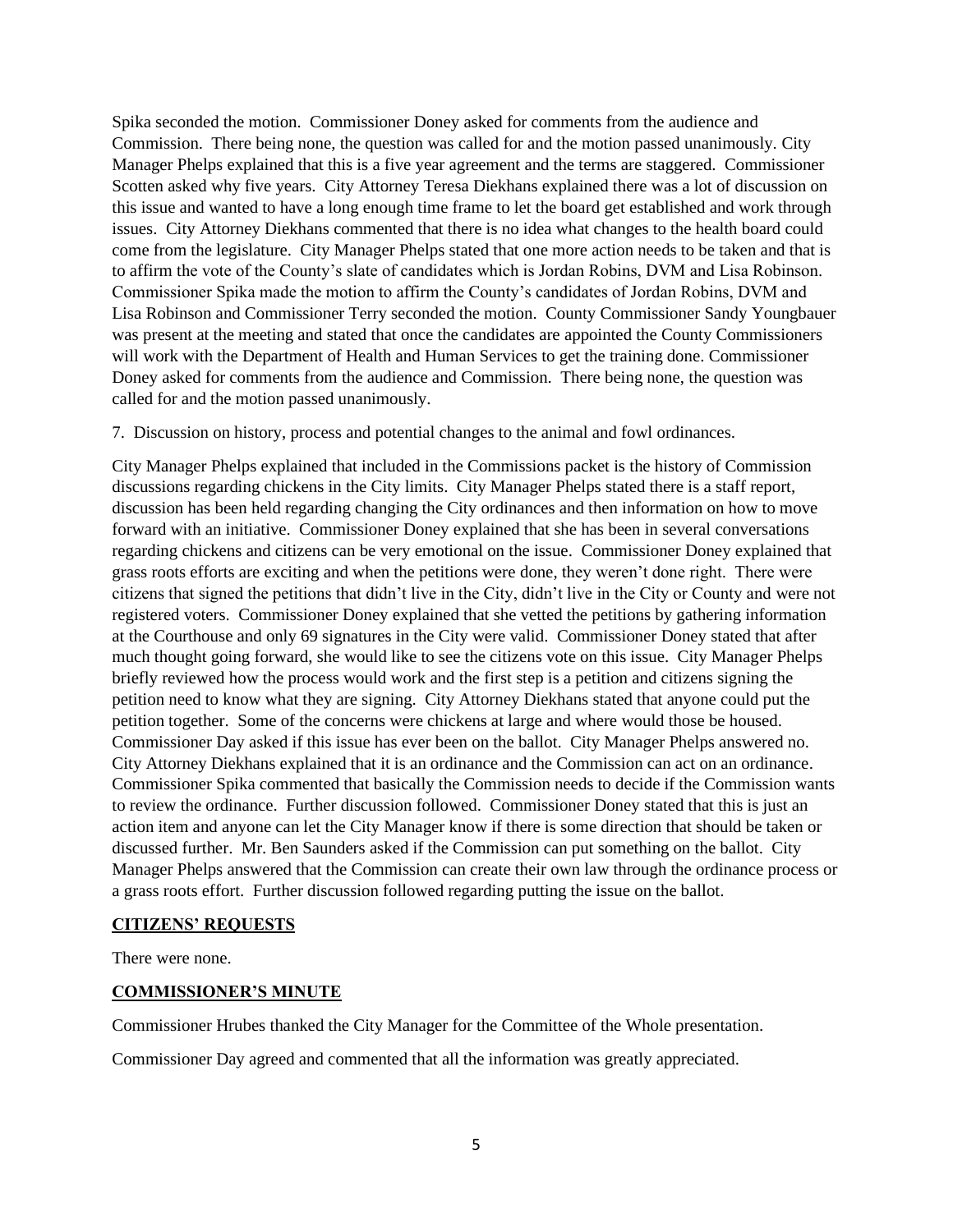Spika seconded the motion. Commissioner Doney asked for comments from the audience and Commission. There being none, the question was called for and the motion passed unanimously. City Manager Phelps explained that this is a five year agreement and the terms are staggered. Commissioner Scotten asked why five years. City Attorney Teresa Diekhans explained there was a lot of discussion on this issue and wanted to have a long enough time frame to let the board get established and work through issues. City Attorney Diekhans commented that there is no idea what changes to the health board could come from the legislature. City Manager Phelps stated that one more action needs to be taken and that is to affirm the vote of the County's slate of candidates which is Jordan Robins, DVM and Lisa Robinson. Commissioner Spika made the motion to affirm the County's candidates of Jordan Robins, DVM and Lisa Robinson and Commissioner Terry seconded the motion. County Commissioner Sandy Youngbauer was present at the meeting and stated that once the candidates are appointed the County Commissioners will work with the Department of Health and Human Services to get the training done. Commissioner Doney asked for comments from the audience and Commission. There being none, the question was called for and the motion passed unanimously.

7. Discussion on history, process and potential changes to the animal and fowl ordinances.

City Manager Phelps explained that included in the Commissions packet is the history of Commission discussions regarding chickens in the City limits. City Manager Phelps stated there is a staff report, discussion has been held regarding changing the City ordinances and then information on how to move forward with an initiative. Commissioner Doney explained that she has been in several conversations regarding chickens and citizens can be very emotional on the issue. Commissioner Doney explained that grass roots efforts are exciting and when the petitions were done, they weren't done right. There were citizens that signed the petitions that didn't live in the City, didn't live in the City or County and were not registered voters. Commissioner Doney explained that she vetted the petitions by gathering information at the Courthouse and only 69 signatures in the City were valid. Commissioner Doney stated that after much thought going forward, she would like to see the citizens vote on this issue. City Manager Phelps briefly reviewed how the process would work and the first step is a petition and citizens signing the petition need to know what they are signing. City Attorney Diekhans stated that anyone could put the petition together. Some of the concerns were chickens at large and where would those be housed. Commissioner Day asked if this issue has ever been on the ballot. City Manager Phelps answered no. City Attorney Diekhans explained that it is an ordinance and the Commission can act on an ordinance. Commissioner Spika commented that basically the Commission needs to decide if the Commission wants to review the ordinance. Further discussion followed. Commissioner Doney stated that this is just an action item and anyone can let the City Manager know if there is some direction that should be taken or discussed further. Mr. Ben Saunders asked if the Commission can put something on the ballot. City Manager Phelps answered that the Commission can create their own law through the ordinance process or a grass roots effort. Further discussion followed regarding putting the issue on the ballot.

#### **CITIZENS' REQUESTS**

There were none.

#### **COMMISSIONER'S MINUTE**

Commissioner Hrubes thanked the City Manager for the Committee of the Whole presentation.

Commissioner Day agreed and commented that all the information was greatly appreciated.